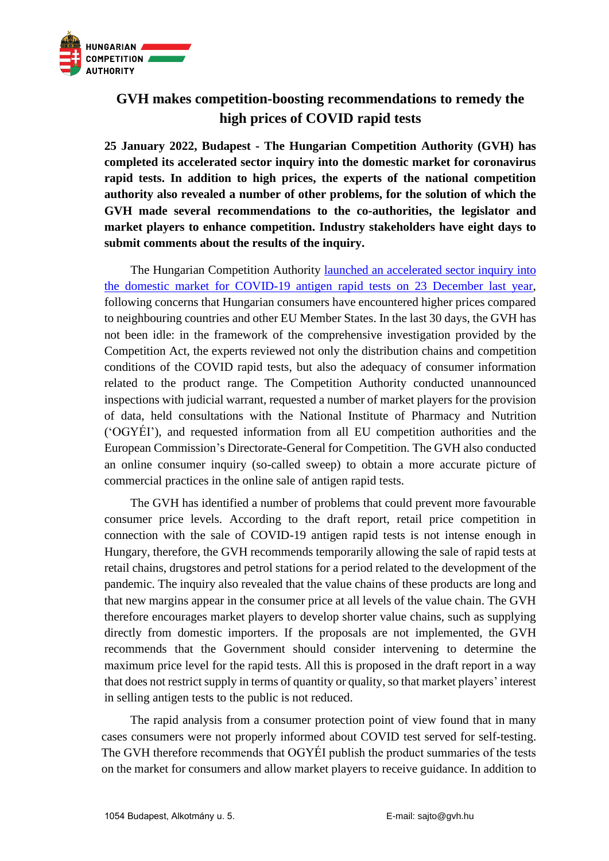

## **GVH makes competition-boosting recommendations to remedy the high prices of COVID rapid tests**

**25 January 2022, Budapest - The Hungarian Competition Authority (GVH) has completed its accelerated sector inquiry into the domestic market for coronavirus rapid tests. In addition to high prices, the experts of the national competition authority also revealed a number of other problems, for the solution of which the GVH made several recommendations to the co-authorities, the legislator and market players to enhance competition. Industry stakeholders have eight days to submit comments about the results of the inquiry.**

The Hungarian Competition Authority [launched an accelerated sector inquiry into](https://gvh.hu/en/press_room/press_releases/press-releases-2021/accelerated-sector-inquiry-into-the-market-of-coronavirus-rapid-tests-)  [the domestic market for COVID-19 antigen rapid tests on 23 December last year,](https://gvh.hu/en/press_room/press_releases/press-releases-2021/accelerated-sector-inquiry-into-the-market-of-coronavirus-rapid-tests-) following concerns that Hungarian consumers have encountered higher prices compared to neighbouring countries and other EU Member States. In the last 30 days, the GVH has not been idle: in the framework of the comprehensive investigation provided by the Competition Act, the experts reviewed not only the distribution chains and competition conditions of the COVID rapid tests, but also the adequacy of consumer information related to the product range. The Competition Authority conducted unannounced inspections with judicial warrant, requested a number of market players for the provision of data, held consultations with the National Institute of Pharmacy and Nutrition ('OGYÉI'), and requested information from all EU competition authorities and the European Commission's Directorate-General for Competition. The GVH also conducted an online consumer inquiry (so-called sweep) to obtain a more accurate picture of commercial practices in the online sale of antigen rapid tests.

The GVH has identified a number of problems that could prevent more favourable consumer price levels. According to the draft report, retail price competition in connection with the sale of COVID-19 antigen rapid tests is not intense enough in Hungary, therefore, the GVH recommends temporarily allowing the sale of rapid tests at retail chains, drugstores and petrol stations for a period related to the development of the pandemic. The inquiry also revealed that the value chains of these products are long and that new margins appear in the consumer price at all levels of the value chain. The GVH therefore encourages market players to develop shorter value chains, such as supplying directly from domestic importers. If the proposals are not implemented, the GVH recommends that the Government should consider intervening to determine the maximum price level for the rapid tests. All this is proposed in the draft report in a way that does not restrict supply in terms of quantity or quality, so that market players' interest in selling antigen tests to the public is not reduced.

The rapid analysis from a consumer protection point of view found that in many cases consumers were not properly informed about COVID test served for self-testing. The GVH therefore recommends that OGYÉI publish the product summaries of the tests on the market for consumers and allow market players to receive guidance. In addition to